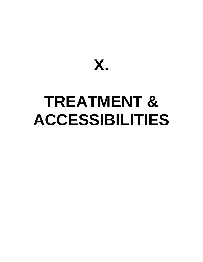

# **TREATMENT & ACCESSIBILITIES**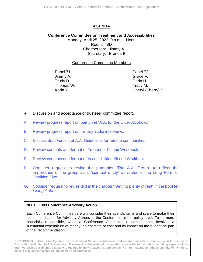## **AGENDA**

<span id="page-1-0"></span>**Conference Committee on Treatment and Accessibilities** Monday, April 25, 2022, 9 a.m. – Noon Room: TBD Chairperson: Jimmy A. Secretary: Brenda B.

## Conference Committee Members

Panel 71 Panel 72 Jimmy A. Trudy D. Thomas W. Karla Y.

Grace F. Darin H. Tracy M. Cheryl (Sherry) S.

- Discussion and acceptance of trustees' committee report.
- A. Review progress report on [pamphlet "A.A. for the Older Alcoholic."](#page-2-0)
- B. [Review progress report on military audio interviews.](#page-4-0)
- C. [Discuss draft version of A.A. Guidelines for remote communities.](#page-8-0)
- D. R[eview contents and format of Treatment Kit and Workbook.](#page-17-0)
- E. Re[view contents and format of Accessibilities Kit and Workbook.](#page-18-0)
- F. Consider request to [revise the pamphlet](#page-19-0) "The A.A. Group" to reflect the importance of the group as a "spiritual entity" as stated in the Long Form of Tradition Five.
- G. [Consider request to](#page-22-0) revise text in the chapter "Getting plenty of rest" in the booklet *Living Sober*.

#### **NOTE: 1989 Conference Advisory Action**

Each Conference Committee carefully consider their agenda items and strive to make their recommendations for Advisory Actions to the Conference at the policy level. To be more financially responsible, when a Conference Committee recommendation involves a substantial expenditure of money, an estimate of cost and its impact on the budget be part of that recommendation.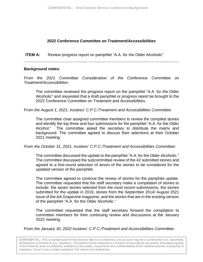<span id="page-2-0"></span>**ITEM A:** Review progress report on pamphlet "A.A. for the Older Alcoholic"

## **Background notes:**

*From the 2021 Committee Consideration of the Conference Committee on Treatment/Accessibilities:*

The committee reviewed the progress report on the pamphlet "A.A. for the Older Alcoholic" and requested that a draft pamphlet or progress report be brought to the 2022 Conference Committee on Treatment and Accessibilities.

*From the August 1, 2021, trustees' C.P.C./Treatment and Accessibilities Committee:* 

The committee chair assigned committee members to review the compiled stories and identify the top three and four submissions for the pamphlet "A.A. for the Older Alcohol." The committee asked the secretary to distribute the matrix and background. The committee agreed to discuss their selections at their October 2021 meeting.

*From the October 31, 2021, trustees' C.P.C./Treatment and Accessibilities Committee:* 

The committee discussed the update to the pamphlet "A.A. for the Older Alcoholic." The committee discussed the subcommittee review of the 42 submitted stories and agreed to a first-round selection of seven of the stories to be considered for the updated version of the pamphlet.

The committee agreed to continue the review of stories for the pamphlet update. The committee requested that the staff secretary make a compilation of stories to include: the seven stories selected from the most recent submissions, the stories submitted for the update in 2019, stories from the September 2014/ August 2021 issue of the AA Grapevine magazine, and the stories that are in the existing version of the pamphlet "A.A. for the Older Alcoholic."

The committee requested that the staff secretary forward the compilation to committee members for their continuing review and discussions at the January 2022 meeting.

*From the January 30, 2022 trustees' C.P.C./Treatment and Accessibilities Committee:*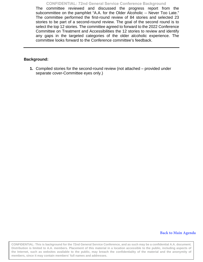**CONFIDENTIAL: 72nd General Service Conference Background** 

The committee reviewed and discussed the progress report from the subcommittee on the pamphlet "A.A. for the Older Alcoholic -- Never Too Late." The committee performed the first-round review of 84 stories and selected 23 stories to be part of a second-round review. The goal of the second round is to select the top 12 stories. The committee agreed to forward to the 2022 Conference Committee on Treatment and Accessibilities the 12 stories to review and identify any gaps in the targeted categories of the older alcoholic experience. The committee looks forward to the Conference committee's feedback.

#### **Background:**

**1.** Compiled stories for the second-round review (not attached – provided under separate cover-Committee eyes only.)

#### **Ba[ck to Main Agenda](#page-1-0)**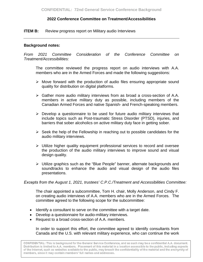## <span id="page-4-0"></span>**ITEM B:** Review progress report on Military audio Interviews

## **Background notes:**

*From 2021 Committee Consideration of the Conference Committee on Treatment/Accessibilities:*

The committee reviewed the progress report on audio interviews with A.A. members who are in the Armed Forces and made the following suggestions:

- $\triangleright$  Move forward with the production of audio files ensuring appropriate sound quality for distribution on digital platforms.
- $\triangleright$  Gather more audio military interviews from as broad a cross-section of A.A. members in active military duty as possible, including members of the Canadian Armed Forces and native Spanish- and French-speaking members.
- $\triangleright$  Develop a questionnaire to be used for future audio military interviews that include topics such as Post-traumatic Stress Disorder (PTSD), injuries, and barriers that sober alcoholics on active military duty face in getting sober.
- $\triangleright$  Seek the help of the Fellowship in reaching out to possible candidates for the audio military interviews.
- $\triangleright$  Utilize higher quality equipment professional services to record and oversee the production of the audio military interviews to improve sound and visual design quality.
- Utilize graphics such as the "Blue People" banner, alternate backgrounds and soundtracks to enhance the audio and visual design of the audio files presentations.

## *Excepts from the August 1, 2021, trustees' C.P.C./Treatment and Accessibilities Committee:*

The chair appointed a subcommittee, Tom H. chair, Molly Anderson, and Cindy F. on creating audio interviews of A.A. members who are in the Armed Forces. The committee agreed to the following scope for the subcommittee:

- Identify a consultant to serve on the committee with a target date.
- Develop a questionnaire for audio-military interviews.
- Request to a broad cross-section of A.A. members.

In order to support this effort, the committee agreed to identify consultants from Canada and the U.S. with relevant military experience, who can continue the work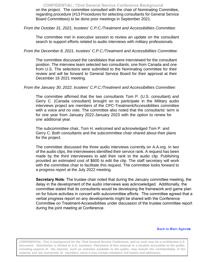on the project. The committee consulted with the chair of Nominating Committee, regarding procedure (#13 Procedures for selecting consultants for General Service Board Committees) to be done prior meetings in September 2021. **CONFIDENTIAL: 72nd General Service Conference Background** 

*From the October 31, 2021, trustees' C.P.C./Treatment and Accessibilities Committee:* 

The committee met in executive session to review an update on the consultant search to support efforts related to audio interviews with military professionals.

*From the December 8, 2021, trustees' C.P.C./Treatment and Accessibilities Committee:*

The committee discussed the candidates that were interviewed for the consultant position. The interview team selected two consultants, one from Canada and one from U.S. The selections were submitted to the Nominating committee for their review and will be forward to General Service Board for their approval at their December 16 2021 meeting.

## *From the January 30, 2022, trustees' C.P.C./Treatment and Accessibilities Committee:*

The committee affirmed that the two consultants Tom P. (U.S. consultant) and Gerry C. (Canada consultant) brought on to participate in the Military audio interviews project are members of the CPC-Treatment/Accessibilities committee with a voice and no vote. The committee also noted that the consultants' term is for one year from January 2022-January 2023 with the option to renew for one additional year.

The subcommittee chair, Tom H. welcomed and acknowledged Tom P. and Gerry C. Both consultants and the subcommittee chair shared about their plans for the project.

The committee discussed the three audio interviews currently on A.A.org. In two of the audio clips, the interviewees identified their service rank. A request has been made by the third interviewees to add their rank to the audio clip. Publishing provided an estimated cost of \$600 to edit the clip. The staff secretary will work with the committee chair to facilitate this request. The committee looks forward to a progress report at the July 2022 meeting.

**Secretary Note**: The trustee chair noted that during the January committee meeting, the delay in the development of the audio interviews was acknowledged. Additionally, the committee stated that its consultants would be developing the framework and game plan on for future activities in concert with subcommittee efforts. The committee agreed that a verbal progress report on any developments might be shared with the Conference Committee on Treatment-Accessibilities under discussion of the trustee committee report during the joint meeting at Conference.

#### **[Back to Main Agenda](#page-1-0)**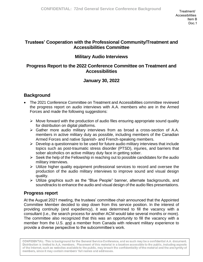# **Trustees' Cooperation with the Professional Community/Treatment and Accessibilities Committee**

# **Military Audio Interviews**

# **Progress Report to the 2022 Conference Committee on Treatment and Accessibilities**

# **January 30, 2022**

# **Background**

- The 2021 Conference Committee on Treatment and Accessibilities committee reviewed the progress report on audio interviews with A.A. members who are in the Armed Forces and made the following suggestions:
	- $\triangleright$  Move forward with the production of audio files ensuring appropriate sound quality for distribution on digital platforms.
	- ➢ Gather more audio military interviews from as broad a cross-section of A.A. members in active military duty as possible, including members of the Canadian Armed Forces and native Spanish- and French-speaking members.
	- $\triangleright$  Develop a questionnaire to be used for future audio military interviews that include topics such as post-traumatic stress disorder (PTSD), injuries, and barriers that sober alcoholics on active military duty face in getting sober.
	- $\triangleright$  Seek the help of the Fellowship in reaching out to possible candidates for the audio military interviews.
	- ➢ Utilize higher quality equipment professional services to record and oversee the production of the audio military interviews to improve sound and visual design quality.
	- ➢ Utilize graphics such as the "Blue People" banner, alternate backgrounds, and soundtracks to enhance the audio and visual design of the audio files presentations.

# **Progress report**

At the August 2021 meeting, the trustees' committee chair announced that the Appointed Committee Member decided to step down from this service position. In the interest of providing continuity (and expediency), it was determined to fill the vacancy with a consultant (i.e., the search process for another ACM would take several months or more). The committee also recognized that this was an opportunity to fill the vacancy with a member from the U.S. and a member from Canada with relevant military experience to provide a diverse perspective to the subcommittee's work.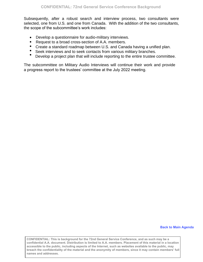Subsequently, after a robust search and interview process, two consultants were selected, one from U.S. and one from Canada. With the addition of the two consultants, the scope of the subcommittee's work includes:

- Develop a questionnaire for audio-military interviews.
- Request to a broad cross-section of A.A. members.
- Create a standard roadmap between U.S. and Canada having a unified plan.
- Seek interviews and to seek contacts from various military branches.
- Develop a project plan that will include reporting to the entire trustee committee.

The subcommittee on Military Audio Interviews will continue their work and provide a progress report to the trustees' committee at the July 2022 meeting.

#### **B[ack to Main Agenda](#page-1-0)**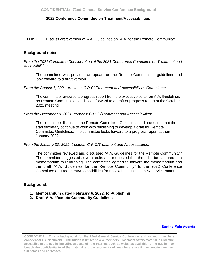<span id="page-8-0"></span>**ITEM C:** Discuss draft version of A.A. Guidelines on "A.A. for the Remote Community"

#### **Background notes:**

*From the 2021 Committee Consideration of the 2021 Conference Committee on Treatment and Accessibilities:* 

The committee was provided an update on the Remote Communities guidelines and look forward to a draft version.

*From the August 1, 2021, trustees' C.P.C/ Treatment and Accessibilities Committee:*

The committee reviewed a progress report from the executive editor on A.A. Guidelines on Remote Communities and looks forward to a draft or progress report at the October 2021 meeting.

*From the December 8, 2021, trustees' C.P.C./Treatment and Accessibilities:* 

The committee discussed the Remote Committee Guidelines and requested that the staff secretary continue to work with publishing to develop a draft for Remote Committee Guidelines. The committee looks forward to a progress report at their January 2022.

*From the January 30, 2022, trustees' C.P.C/Treatment and Accessibilities:* 

The committee reviewed and discussed "A.A. Guidelines for the Remote Community." The committee suggested several edits and requested that the edits be captured in a memorandum to Publishing. The committee agreed to forward the memorandum and the draft "A.A. Guidelines for the Remote Community" to the 2022 Conference Committee on Treatment/Accessibilities for review because it is new service material.

#### **Background:**

- **1. Memorandum dated February 6, 2022, to Publishing**
- **2. Draft A.A. "Remote Community Guidelines"**

#### **[Back to Main Agenda](#page-1-0)**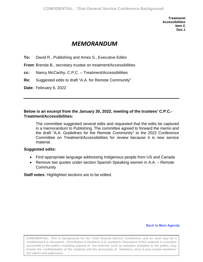# *MEMORANDUM*

**To:** David R., Publishing and Ames S., Executive Editor

**From**: Brenda B., secretary trustee on treatment/Accessibilities

- **cc:** Nancy McCarthy, C.P.C. Treatment/Accessibilities
- **Re:** Suggested edits to draft "A.A. for Remote Community"
- **Date:** February 6, 2022

## **Below is an excerpt from the January 30, 2022, meeting of the trustees' C.P.C.- Treatment/Accessibilities:**

The committee suggested several edits and requested that the edits be captured in a memorandum to Publishing. The committee agreed to forward the memo and the draft "A.A. Guidelines for the Remote Community" to the 2022 Conference Committee on Treatment/Accessibilities for review because it is new service material.

## **Suggested edits:**

- Find appropriate language addressing Indigenous people from US and Canada
- Remove two quotes under section Spanish Speaking women in A.A. Remote **Community**

**Staff notes**: Highlighted sections are to be edited.

#### **Back to Mai[n Agenda](#page-1-0)**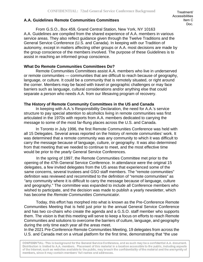## **A.A. Guidelines Remote Communities Committees**

From G.S.O., Box 459, Grand Central Station, New York, NY 10163 A.A. Guidelines are compiled from the shared experience of A.A. members in various service areas. They also reflect guidance given through the Twelve Traditions and the General Service Conference (U.S. and Canada). In keeping with our Tradition of autonomy, except in matters affecting other groups or A.A. most decisions are made by the group conscience of the members involved. The purpose of these Guidelines is to assist in reaching an informed group conscience.

## **What Do Remote Communities Committees Do?**

Remote Communities Committees assist A.A. members who live in underserved or remote communities — communities that are difficult to reach because of geography, language, or culture. It could be a community that is remotely situated, or right around the corner. Members may be faced with travel or geographic challenges or may face barriers such as language, cultural considerations and/or anything else that could separate a person who needs A.A. from our lifesaving program of recovery.

## **The History of Remote Community Committees in the US and Canada**

In keeping with A.A.'s Responsibility Declaration, the need for A.A.'s service structure to pay special attention to alcoholics living in remote communities was first articulated in the 1970s with reports from A.A. members dedicated to carrying the message to some of the most far-flung places across the U.S. and Canada.

In Toronto in July 1996, the first Remote Communities Conference was held with all 15 Delegates. Several areas reported on the history of remote communities' work. It was determined that a remote community was any community to which it was difficult to carry the message because of language, culture, or geography. It was also determined from that meeting that we needed to continue to meet, and the most effective time would be prior to the yearly General Service Conferences.

In the spring of 1997, the Remote Communities Committee met prior to the opening of the 47th General Service Conference. In attendance were the original 15 delegates, a few invited delegates from the US areas that experienced some of the same concerns, several trustees and GSO staff members. The "remote communities" definition was reviewed and recommitted to the definition of "remote communities" as "any community where it is difficult to carry the message because of language, culture and geography." The committee was expanded to include all Conference members who wished to participate, and the decision was made to publish a yearly newsletter, which has become the *Remote Communities Communicator*.

Today, this effort has morphed into what is known as the Pre-Conference Remote Communities Meeting that is held just prior to the annual General Service Conference and has two co-chairs who create the agenda and a G.S.O. staff member who supports them. The vision is that this meeting will serve to keep a focus on efforts to reach Remote Communities and solutions to overcome the barriers of culture, language, and geography during the only time each year all the areas meet.

In the 2021 Pre-Conference Remote Communities Meeting, 19 delegates from across the U.S. and Canada met on a virtual platform for the first time, demonstrating that "the use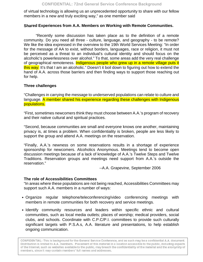of virtual technology is allowing us an unprecedented opportunity to share with our fellow members in a new and truly exciting way," as one member said

## **Shared Experiences from A.A. Members on Working with Remote Communities.**

"Recently some discussion has taken place as to the definition of a remote community. Do you need all three - culture, language, and geography - to be remote? We like the idea expressed in the overview to the 19th World Services Meeting: "In order for the message of AA to exist, without borders, languages, race or religion, it must not be perceived as a threat to an individual's cultural identity and should focus on the alcoholic's powerlessness over alcohol." To that, some areas add the very real challenge of geographical remoteness. Indigenous people who grew up in a remote village puts it this way: It's that I am an alcoholic." Doesn't it boil down to figuring out how to extend the hand of A.A. across those barriers and then finding ways to support those reaching out for help.

## **Three challenges**

"Challenges in carrying the message to underserved populations can relate to culture and language. A member shared his experience regarding these challenges with Indigenous populations.

"First, sometimes newcomers think they must choose between A.A.'s program of recovery and their native cultural and spiritual practices.

"Second, because communities are small and everyone knows one another, maintaining privacy is, at times a problem. When confidentiality is broken, people are less likely to support the group and attend A.A. meetings on the reservation.

"Finally, A.A.'s newness on some reservations results in a shortage of experience sponsorship for newcomers. Alcoholics Anonymous. Meetings tend to become open discussion meetings because of a lack of knowledge of A.A.'s Twelve Steps and Twelve Traditions. Reservation groups and meetings need support from A.A.'s outside the reservation."

--A.A. Grapevine, September 2006

## **The role of Accessibilities Committees**

"In areas where these populations are not being reached, Accessibilities Committees may support such A.A. members in a number of ways:

- Organize regular telephone/teleconferencing/video conferencing meetings with members in remote communities for both recovery and service meetings.
- Identify community resources and leaders within specific ethnic and cultural communities, such as local media outlets; places of worship; medical providers, social clubs, and schools. Coordinate with C.P.C/P.I. committees to provide such culturally significant targets with P.S.A.s, A.A. literature and presentations, to help establish ongoing communication.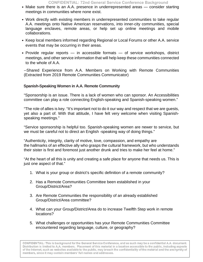- Make sure there is an A.A. presence in underrepresented areas consider starting meetings in communities where none exist.
- Work directly with existing members in underrepresented communities to take regular A.A. meetings onto Native American reservations, into inner-city communities, special language enclaves, remote areas, or help set up online meetings and mobile collaborations.
- Keep local members informed regarding Regional or Local Forums or other A.A. service events that may be occurring in their areas.
- Provide regular reports in accessible formats of service workshops, district meetings, and other service information that will help keep these communities connected to the whole of A.A.

--Shared Experience from A.A. Members on Working with Remote Communities (Extracted from 2019 Remote Communities Communicator)

## **Spanish-Speaking Women in A.A. Remote Community**

"Sponsorship is an issue. There is a lack of women who can sponsor. An Accessibilities committee can play a role connecting English-speaking and Spanish-speaking women."

"The role of allies is key. "It's important not to do it our way and respect that we are guests, yet also a part of. With that attitude, I have felt very welcome when visiting Spanishspeaking meetings."

"Service sponsorship is helpful too. Spanish-speaking women are newer to service, but we must be careful not to direct an English -speaking way of doing things."

"Authenticity, integrity, clarity of motive, love, compassion, and empathy are the hallmarks of an effective ally who grasps the cultural framework, but who understands their sister is first and foremost just another drunk and tries to make her feel at home."

"At the heart of all this is unity and creating a safe place for anyone that needs us. This is just one aspect of that."

- 1. What is your group or district's specific definition of a remote community?
- 2. Has a Remote Communities Committee been established in your Group/District/Area?
- 3. Are Remote Communities the responsibility of an already established Group/District/Area committee?
- 4. What can your Group/District/Area do to increase Twelfth Step work in remote locations?
- 5. What challenges or opportunities has your Remote Communities Committee encountered regarding language, culture, or geography?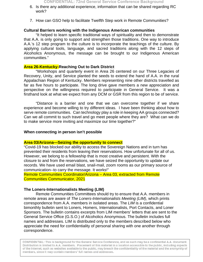- 6. Is there any additional experience, information that can be shared regarding RC work?
- 7. How can GSO help to facilitate Twelfth Step work in Remote Communities?

## **Cultural Barriers working with the Indigenous American communities**

"It helped to learn specific traditional ways of spirituality and then to demonstrate that A.A. is only going to support and strengthen those traditions. One way to introduce A.A.'s 12 step program to the culture is to incorporate the teachings of the culture. By applying cultural tools, language, and sacred traditions along with the 12 steps of Alcoholics Anonymous, the message can be brought to our Indigenous American communities."

## **Area 26-Kentucky-Reaching Out to Dark District**

"Workshops and quarterly event in Area 26 centered on our Three Legacies of Recovery, Unity, and Service planted the seeds to extend the hand of A.A. in the rural Appalachian Region of Kentucky. Members representing nine other districts travelled as far as five hours to participate. The long drive gave members a new appreciation and perspective on the willingness required to participate in General Service. It was a firsthand look at what we expect from any DCM or GSR from this region to be of service.

"Distance is a barrier and one that we can overcome together if we share experience and become willing to try different ideas. I have been thinking about how to serve remote communities. Can technology play a role in keeping AA groups connected? Can we all commit to such travel and go meet people where they are? What can we do to make service more inviting and maximize our time together?"

## **When connecting in person isn't possible**

#### **Area 03/Arizona—Seizing the opportunity to connect**

"Covid-19 has blocked our ability to access the Sovereign Nations and in turn has prevented their residents from leaving their reservations. How unfortunate for all of us. However, we belong to a fellowship that is most creative and persistent. With the closure to and from the reservations, we have seized the opportunity to update our records. We have used email blast, snail-mail, zoom rooms as our primary source of communication--to carry the message. It works!"

Remote Communities Coordinator/Arizona – Area 03, extracted from Remote Communities Communicator, 2021

## **The Loners-Internationalists Meeting (LIM)**

Remote Communities Committees should try to ensure that A.A. members in remote areas are aware of *The Loners-Internationalists Meeting (LIM)*, which prints correspondence from A.A. members in isolated areas. The *LIM* is a confidential bimonthly bulletin sent to Loners, Homers, Internationalists, Port Contacts, and Loner Sponsors. The bulletin contains excerpts from LIM members' letters that are sent to the General Service Office (G.S.O.) of Alcoholics Anonymous. The bulletin includes full names and addresses. LIM is distributed only to the members described below who appreciate the need for confidentiality of personal sharing with one another through correspondence.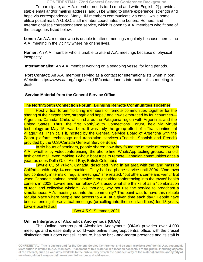**CONFIDENTIAL: 72nd General Service Conference Background** 

To participate, an A.A. member needs to: 1) read and write English; 2) provide a stable email and/or mailing address; and 3) be willing to share experience, strength and hope via correspondence. Many LIM members communicate via email, while some utilize postal mail. A G.S.O. staff member coordinates the Loners, Homers, and Internationalist's correspondence service, which is open to A.A. members who fit one of the categories listed below:

**Loner:** An A.A. member who is unable to attend meetings regularly because there is no A.A. meeting in the vicinity where he or she lives.

**Homer:** An A.A. member who is unable to attend A.A. meetings because of physical incapacity.

**Internationalist:** An A.A. member working on a seagoing vessel for long periods.

**Port Contact:** An A.A. member serving as a contact for Internationalists when in port. Website: https://www.aa.org/pages/en\_US/contact-loners-internationalists-meeting-limdesk

## **-Service Material from the General Service Office**

#### **The North/South Connection Forum: Bringing Remote Communities Together**

Host virtual forum "to bring members of remote communities together for the sharing of their experience, strength and hope," and it was embraced by four countries— Argentina, Canada, Chile, which shares the Patagonia region with Argentina, and the United States. Thus, the first North/South Connections Forum, held via virtual technology on May 15, was born. It was truly the group effort of a "transcontinental village," as Trish calls it, hosted by the General Service Board of Argentina with the Zoom platform technology and translation services (English. Spanish and French) provided by the U.S./Canada General Service Board.

In six hours of seminars, people shared how they found the miracle of recovery in A.A., whether by videoconferencing, the phone line, WhatsApp texting groups, the oldfashioned mail, even making 12-hour boat trips to remote Canadian communities once a year, as does Della G. of Alert Bay, British Columbia.

Lawrie C., of Yukon, Canada, described living in an area with the land mass of California with only 14 communities. They had no phone service until 2004. "One town had continuity in terms of regular meetings," she related, "but others came and went." But when Canada's national health service brought videoconferencing into the towns' health centers in 2008, Lawrie and her fellow A.A.s used what she thinks of as a "combination of tech and collective wisdom. We thought, why not use the service to broadcast a simultaneous A.A. meeting out into the community? The point was to have this reliable regular place where people had access to A.A. at a given time each day." People have been attending these virtual meetings (or calling into them on landlines) for 13 years, Lawrie pointed out.

--Box 4-5-9, Summer, 2021

#### **Online Intergroup of Alcoholics Anonymous (OIAA)**

The Online Intergroup of Alcoholics Anonymous (OIAA) provides over 4,000 meetings and is essentially a world-wide online intergroup/central office, with the crucial distinction that it does not sell literature, has no brick-and-mortar presence and its staff is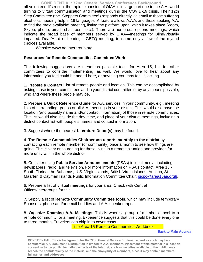all-volunteer. It's recent the rapid expansion of OIAA is in large part due to the A.A. world turning to virtual communication and meetings during the COVID-19 crisis. Their 12th Step Committee (the "Steppers Committee") responds directly via email to those suffering alcoholics needing help in 16 languages. A feature allows A.A.'s and those seeking A.A. to find the "next available" meeting, listing the platform upon which it takes place (Zoom, Skype, phone, email, chat room, etc.). There are numerous options meetings, which indicate the broad base of members served by OIAA—meetings for Blind/Visually impaired. Deaf/Hard of hearing, LGBTQ meeting, to name only a few of the myriad choices available. **CONFIDENTIAL: 72nd General Service Conference Background** 

Website: www.aa-intergroup.org

## **Resources for Remote Communities Committee Work**

The following suggestions are meant as possible tools for Area 15, but for other committees to consider implementing, as well. We would love to hear about any information you feel could be added here, or anything you may feel is lacking.

1. Prepare a **Contact List** of remote people and location. This can be accomplished by asking those in your committees and in your district committee or by any means possible, who and where these people may be.

2. Prepare a **Quick Reference Guide** for A.A. services in your community, e.g., meeting lists of surrounding groups or all A.A. meetings in your district. This would also have the location (and possibly name and/or contact information) of those in remote communities. This list would also include the day, time, and place of your district meetings, including a district contact list with people's names and contact information.

3. Suggest where the nearest **Literature Depot(s)** may be found.

4. The **Remote Communities Chairperson reports monthly to the district** by contacting each remote member (or community) once a month to see how things are going. This is very encouraging for those living in a remote situation and provides for more unity within the whole district.

5. Consider using **Public Service Announcements** (PSAs) in local media, including newspapers, radio, and television. For more information on PSA's contact: Area 15 - South Florida, the Bahamas, U.S. Virgin Islands, British Virgin Islands, Antigua, St Maarten & Cayman Islands Public Information Committee Chair: [picpc@area15aa.org8.](mailto:picpc@area15aa.org8)

6. Prepare a list of **virtual meetings** for your area. Check with Central Offices/Intergroups for this.

7. Supply a list of **Remote Community Committee tools,** which may include temporary Sponsors, phone and/or email buddies and A.A. speaker tapes.

8. Organize **Roaming A.A. Meetings.** This is where a group of members travel to a remote community for a meeting. Experience suggests that this could be done every one to three months. Travelers can chip in to cover costs.

--the Area 15 Remote Communities Workbook

 **Back to [Main Agenda](#page-1-0)**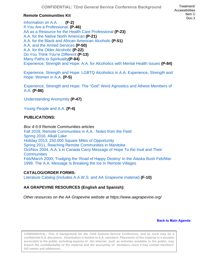## **Remote Communities Kit**

Information on A.A. **(F-2)** If You Are a Professional. **(P-46)** AA as a Resource for the Health Care Professional **(P-23)** A.A. for the Native North American **(P-21)** A.A. for the Black and African American Alcoholic **(P-51)** A.A. and the Armed Services **(P-50)** A.A. for the Older Alcoholic **(P-22)** Do You Think You're Different **(P-13)** Many Paths to Spirituality**(P-84)** Experience, Strength and Hope: A.A. for Alcoholics with Mental Health Issues **(P-84)**

Experience, Strength and Hope: LGBTQ Alcoholics in A.A. Experience, Strength and Hope: Women in A.A. **(P-5)** 

Experience, Strength and Hope: The "God" Word Agnostics and Atheist Members of A.A. **(P-86)** 

Understanding Anonymity **(P-47)**

Young People and A.A. **(P-4)** 

## **PUBLICATIONS:**

*Box 4-5-9* Remote Communities articles Fall 2018, Remote Communities in A.A.: Notes from the Field Spring 2016, Alkali Lake Holiday 2013, 250,000 Square Miles of Opportunity Spring 2011, Reaching Remote Communities in Manitoba Oct/Nov 2004, A.A.'s in Canada Carry Message of Hope To the Inuit and Their **Communities** Feb/March 2000, Trudging the 'Road of Happy Destiny' In the Alaska Bush Feb/Mar 1999, The A.A. Message Is Breaking the Ice In Remote Villages

## **CATALOG/ORDER FORMS:**

Literature Catalog (includes A.A.W.S. and AA Grapevine material) **(F-10)** 

## **AA GRAPEVINE RESOURCES (English and Spanish):**

*Other resources on the AA Grapevine website at https://www.aagrapevine.org/* 

#### **Back to [Main Agenda](#page-1-0)**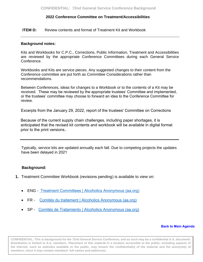#### <span id="page-17-0"></span>**ITEM D:** Review contents and format of Treatment Kit and Workbook

#### **Background notes:**

Kits and Workbooks for C.P.C., Corrections, Public Information, Treatment and Accessibilities are reviewed by the appropriate Conference Committees during each General Service Conference.

Workbooks and Kits are service pieces. Any suggested changes to their content from the Conference committee are put forth as Committee Considerations rather than recommendations.

Between Conferences, ideas for changes to a Workbook or to the contents of a Kit may be received. These may be reviewed by the appropriate trustees' Committee and implemented, or the trustees' committee may choose to forward an idea to the Conference Committee for review.

Excerpts from the January 29, 2022, report of the trustees' Committee on Corrections

Because of the current supply chain challenges, including paper shortages, it is anticipated that the revised kit contents and workbook will be available in digital format prior to the print versions..

Ty[pically, service kits are updated annually each fall. Due to competing proje](https://www.aa.org/sites/default/files/literature/m-40i_TFWorkbook.pdf)cts the updates have been d[elayed in 2021](https://www.aa.org/sites/default/files/literature/assets/f-167w_TF_Kit.pdf)

#### **Backgroun[d:](https://www.aa.org/sites/default/files/literature/assets/ff-167w_TF_Kit.pdf)**

- **1.** Treatment Committee Workbook (revisions pending) [is available to view on:](https://www.aa.org/sites/default/files/literature/assets/sf-167w_TF_Kit.pdf)
	- ENG Treatment Committees | Alcoholics Anonymous (aa.org)
	- FR Comités du traitement | Alcoholics Anonymous (aa.org)
	- SP Comités de Tratamiento | Alcoholics Anonymous (aa.org)

#### **Back t[o Main Agenda](#page-1-0)**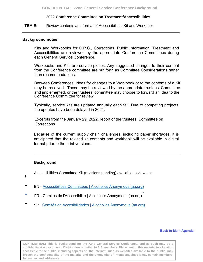<span id="page-18-0"></span>**ITEM E:** Review contents and format of Accessibilities Kit and Workbook

#### **Background notes:**

Kits and Workbooks for C.P.C., Corrections, Public Information, Treatment and Accessibilities are reviewed by the appropriate Conference Committees during each General Service Conference.

Workbooks and Kits are service pieces. Any suggested changes to their content from the Conference committee are put forth as Committee Considerations rather than recommendations.

Between Conferences, ideas for changes to a Workbook or to the contents of a Kit may be received. These may be reviewed by the appropriate trustees' Committee and implemented, or the trustees' committee may choose to forward an idea to the Conference Committee for review.

Typically, service kits are updated annually each fall. Due to competing projects the updates have been delayed in 2021.

Excerpts from the January 29, 2022, report of the trustees' Committee on **Corrections** 

Because of the current supply chain challenges, including paper shortages, it is anticipated that the revised kit contents and workbook will be available in digital [format prior to the print versions..](https://www.aa.org/sites/default/files/literature/m-48i_SNWorkbook.pdf)

#### **Back[ground:](https://www.aa.org/sites/default/files/literature/assets/ff-182w_SN_Kit.pdf)**

Acce[ssibilities Committee Kit](https://www.aa.org/sites/default/files/literature/assets/sf-182w_SN_Kit.pdf) (revisions pending) available to view on:

- 1.
- EN Accessibilities Committees | Alcoholics Anonymous (aa.org)
- FR Comités de l'Accessibilité | Alcoholics Anonymous (aa.org)
- SP Comités de Accesibilidades | Alcoholics Anonymous (aa.org)

#### **Bac[k to Main Agenda](#page-1-0)**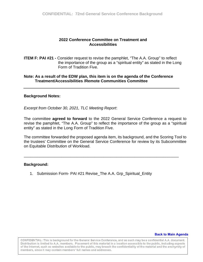<span id="page-19-0"></span>**ITEM F: PAI #21 - Consider request to revise the pamphlet, "The A.A. Group" to reflect**  the importance of the group as a "spiritual entity" as stated in the Long Form of Tradition Five.

## **Note: As a result of the EDW plan, this item is on the agenda of the Conference Treatment/Accessibilities /Remote Communities Committee**

## **Background Notes:**

*Excerpt from October 30, 2021, TLC Meeting Report*:

The committee **agreed to forward** to the 2022 General Service Conference a request to revise the pamphlet, "The A.A. Group" to reflect the importance of the group as a "spiritual entity" as stated in the Long Form of Tradition Five.

The committee forwarded the proposed agenda item, its background, and the Scoring Tool to the trustees' Committee on the General Service Conference for review by its Subcommittee on Equitable Distribution of Workload.

\_\_\_\_\_\_\_\_\_\_\_\_\_\_\_\_\_\_\_\_\_\_\_\_\_\_\_\_\_\_\_\_\_\_\_\_\_\_\_\_\_\_\_\_\_\_\_\_\_\_\_\_\_\_\_\_\_\_\_\_\_\_\_\_\_\_\_\_\_\_

#### **Background:**

1. Submission Form- PAI #21 Revise The A.A. Grp Spiritual Entity

#### **Back to Main Agenda**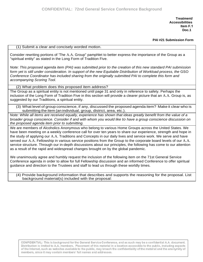**Treatment/ Accessibilities Item F.1 Doc.1** 

**PAI #21 Submission Form**

(1) Submit a clear and concisely worded motion.

Consider rewriting portions of 'The A.A. Group" pamphlet to better express the importance of the Group as a "spiritual entity" as stated in the Long Form of Tradition Five.

*Note: This proposed agenda item (PAI) was submitted prior to the creation of this new standard PAI submission* form yet is still under consideration. In support of the new Equitable Distribution of Workload process, the GSO *Conference Coordinator has included sharing from the originally submitted PAI to complete this form and accompanying Scoring Tool.*

(2) What problem does this proposed item address?

The Group as a spiritual entity is not mentioned until page 31 and only in reference to safety. Perhaps the inclusion of the Long Form of Tradition Five in this section will provide a clearer picture that an A.A. Group is, as suggested by our Traditions, a spiritual entity.

(3) What level of group conscience, if any, discussed the proposed agenda item? Make it clear who is submitting the item (an individual, group, district, area, etc.).

*Note: While all items are received equally, experience has shown that ideas greatly benefit from the value of a broader group conscience. Consider if and with whom you would like to have a group conscience discussion on the proposed agenda item prior to submitting.*

We are members of Alcoholics Anonymous who belong to various Home Groups across the United States. We have been meeting on a weekly conference call for over ten years to share our experience, strength and hope in the study of applying our A.A. Traditions and Concepts in our daily lives and service work. We serve and have served our A.A. Fellowship in various service positions from the Group to the corporate board levels of our A.A. service structure. Through our in-depth discussions about our principles, the following has come to our attention as a result of the rapid and widespread changes brought on by the global pandemic.

We unanimously agree and humbly request the inclusion of the following item on the 71st General Service Conference agenda in order to allow for full Fellowship discussion and an informed Conference to offer spiritual guidance and direction to the Trustees and staff to lead us through these worldly times.

(4) Provide background information that describes and supports the reasoning for the proposal. List background material(s) included with the proposal: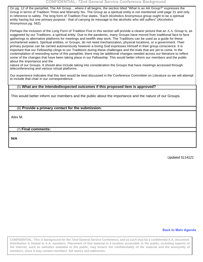On pg. 12 of the pamphlet, The AA Group... where it all begins, the section titled "What Is an AA Group?" expresses the Group in terms of Tradition Three and Warranty Six. The Group as a spiritual entity is not mentioned until page 31 and only in reference to safety. The long form of Tradition Five states, "Each Alcoholics Anonymous group ought to be a spiritual entity having but one primary purpose - that of carrying its message to the alcoholic who still suffers" (Alcoholics Anonymous pg. 562).

Perhaps the inclusion of the Long Form of Tradition Five in this section will provide a clearer picture that an A.A. Group is, as suggested by our Traditions, a spiritual entity. Due to the pandemic, many Groups have moved from traditional face to face gatherings to alternative platforms for meetings and twelfth step work. The Traditions can be used as a guide for these unchartered waters. Spiritual entities, or Groups, do not need mechanization, physical locations, or a government. Their primary purpose can be carried autonomously however a loving God expresses Himself in their group conscience. It is important that our Fellowship clings to our Traditions during these challenges and the trials that are yet to come. In the contemplation of rewording some of this pamphlet, there may be additional changes needed across our literature to reflect some of the changes that have been taking place in our Fellowship. This would better inform our members and the public about the importance and the

nature of our Groups. It should also include taking into consideration the Groups that have meetings accessed through teleconferencing and various virtual platforms.

Our experience indicates that this item would be best discussed in the Conference Committee on Literature so we will attempt to include that chair in our correspondence.

#### (5) **What are the intended/expected outcomes if this proposed item is approved?**

This would better inform our members and the public about the importance and the nature of our Groups.

#### (6) **Provide a primary contact for the submission.**

Alex M.

#### (7) **Final comments:**

**N/A**

*Updated 5114121*

#### **B[ack to Main Agenda](#page-1-0)**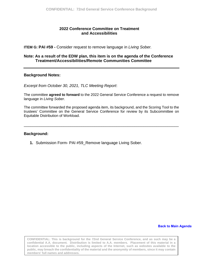<span id="page-22-0"></span>**ITEM G: PAI #59 -** Consider request to remove language in *Living Sober.* 

## **Note: As a result of the EDW plan, this item is on the agenda of the Conference Treatment/Accessibilities/Remote Communities Committee**

## **Background Notes:**

*Excerpt from October 30, 2021, TLC Meeting Report*:

The committee **agreed to forward** to the 2022 General Service Conference a request to remove language in *Living Sober*.

The committee forwarded the proposed agenda item, its background, and the Scoring Tool to the trustees' Committee on the General Service Conference for review by its Subcommittee on Equitable Distribution of Workload.

\_\_\_\_\_\_\_\_\_\_\_\_\_\_\_\_\_\_\_\_\_\_\_\_\_\_\_\_\_\_\_\_\_\_\_\_\_\_\_\_\_\_\_\_\_\_\_\_\_\_\_\_\_\_\_\_\_\_\_\_\_\_\_\_\_\_\_\_\_\_

#### **Background:**

**1.** Submission Form- PAI #59\_Remove language Living Sober.

#### **Back to Mai[n Agenda](#page-1-0)**